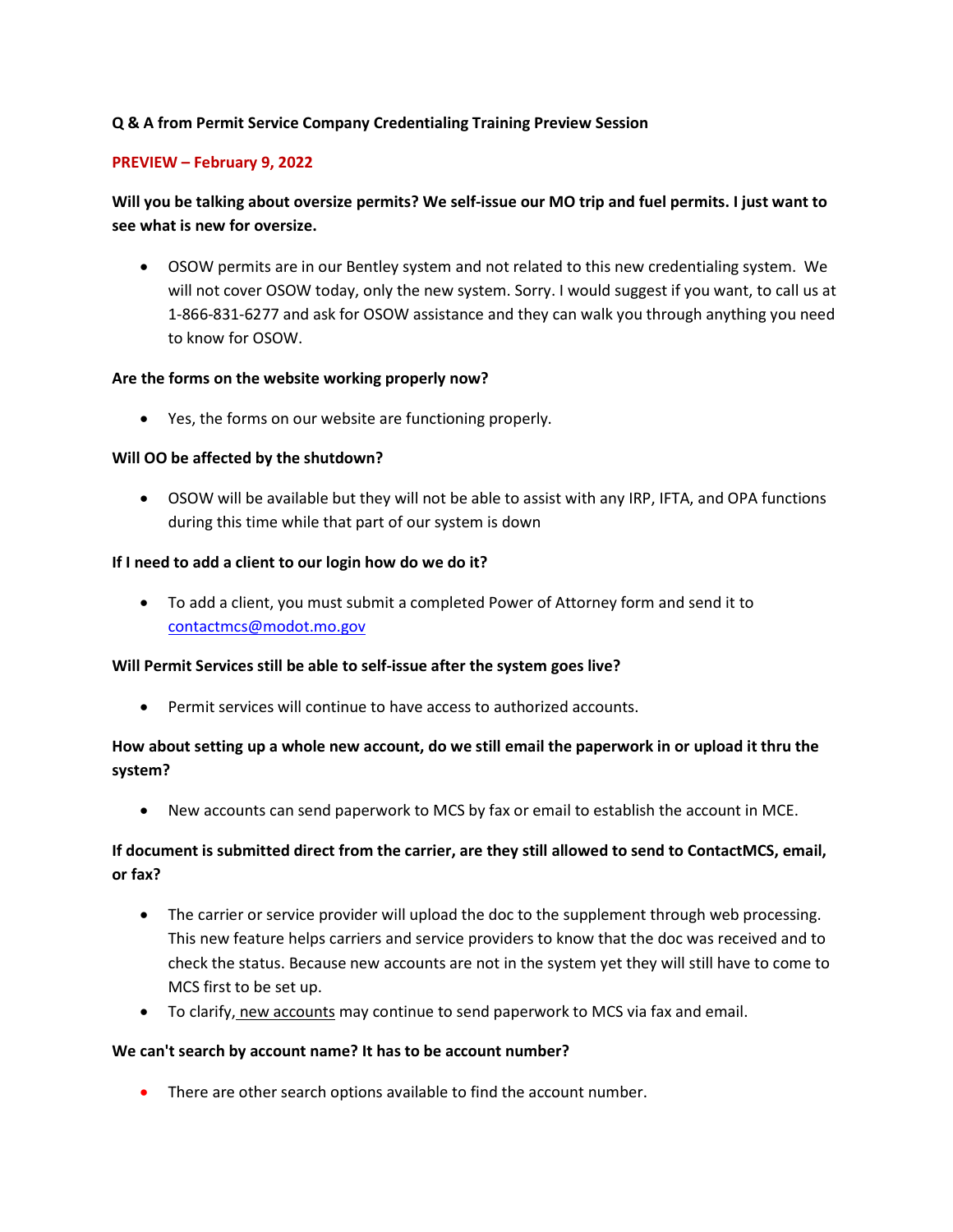## Q & A from Permit Service Company Credentialing Training Preview Session

## PREVIEW – February 9, 2022

# Will you be talking about oversize permits? We self-issue our MO trip and fuel permits. I just want to see what is new for oversize.

 OSOW permits are in our Bentley system and not related to this new credentialing system. We will not cover OSOW today, only the new system. Sorry. I would suggest if you want, to call us at 1-866-831-6277 and ask for OSOW assistance and they can walk you through anything you need to know for OSOW.

#### Are the forms on the website working properly now?

Yes, the forms on our website are functioning properly.

## Will OO be affected by the shutdown?

 OSOW will be available but they will not be able to assist with any IRP, IFTA, and OPA functions during this time while that part of our system is down

#### If I need to add a client to our login how do we do it?

 To add a client, you must submit a completed Power of Attorney form and send it to contactmcs@modot.mo.gov

# Will Permit Services still be able to self-issue after the system goes live?

Permit services will continue to have access to authorized accounts.

# How about setting up a whole new account, do we still email the paperwork in or upload it thru the system?

New accounts can send paperwork to MCS by fax or email to establish the account in MCE.

# If document is submitted direct from the carrier, are they still allowed to send to ContactMCS, email, or fax?

- The carrier or service provider will upload the doc to the supplement through web processing. This new feature helps carriers and service providers to know that the doc was received and to check the status. Because new accounts are not in the system yet they will still have to come to MCS first to be set up.
- To clarify, new accounts may continue to send paperwork to MCS via fax and email.

#### We can't search by account name? It has to be account number?

• There are other search options available to find the account number.